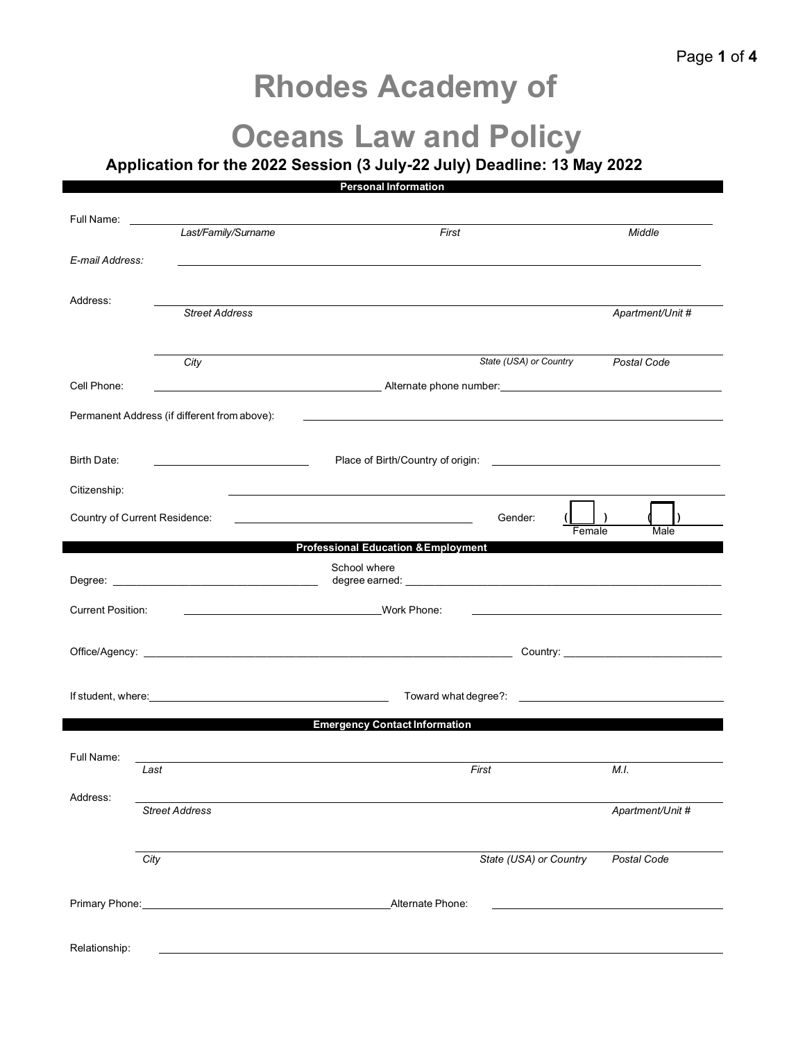## **Rhodes Academy of**

## **Oceans Law and Policy**

**Application for the 2022 Session (3 July-22 July) Deadline: 13 May 2022** 

|                                                                                                                                                                                                                                      |                                                                                                                 | <b>Personal Information</b>                                                                                                      |                  |
|--------------------------------------------------------------------------------------------------------------------------------------------------------------------------------------------------------------------------------------|-----------------------------------------------------------------------------------------------------------------|----------------------------------------------------------------------------------------------------------------------------------|------------------|
| Full Name:                                                                                                                                                                                                                           |                                                                                                                 |                                                                                                                                  |                  |
|                                                                                                                                                                                                                                      | Last/Family/Surname                                                                                             | First                                                                                                                            | Middle           |
| E-mail Address:                                                                                                                                                                                                                      |                                                                                                                 |                                                                                                                                  |                  |
| Address:                                                                                                                                                                                                                             |                                                                                                                 |                                                                                                                                  |                  |
|                                                                                                                                                                                                                                      | <b>Street Address</b>                                                                                           |                                                                                                                                  | Apartment/Unit # |
|                                                                                                                                                                                                                                      | City                                                                                                            | State (USA) or Country                                                                                                           | Postal Code      |
| Cell Phone:                                                                                                                                                                                                                          |                                                                                                                 |                                                                                                                                  |                  |
|                                                                                                                                                                                                                                      | Permanent Address (if different from above):                                                                    | <u> 1999 - Johann Harry Harry Harry Harry Harry Harry Harry Harry Harry Harry Harry Harry Harry Harry Harry Harry H</u>          |                  |
|                                                                                                                                                                                                                                      |                                                                                                                 |                                                                                                                                  |                  |
| Birth Date:                                                                                                                                                                                                                          | <u> 1980 - Johann Barbara, martxa eta politikar</u>                                                             |                                                                                                                                  |                  |
| Citizenship:                                                                                                                                                                                                                         |                                                                                                                 |                                                                                                                                  |                  |
| Country of Current Residence:                                                                                                                                                                                                        |                                                                                                                 | Gender:<br><u> 1980 - Johann Stoff, fransk konge og det ble stoffen og det ble stoffen og det ble stoffen og det ble stoffen</u> | Male<br>Female   |
|                                                                                                                                                                                                                                      |                                                                                                                 | <b>Professional Education &amp; Employment</b>                                                                                   |                  |
|                                                                                                                                                                                                                                      |                                                                                                                 | School where                                                                                                                     |                  |
| <b>Current Position:</b>                                                                                                                                                                                                             |                                                                                                                 | Work Phone:                                                                                                                      |                  |
|                                                                                                                                                                                                                                      |                                                                                                                 |                                                                                                                                  |                  |
|                                                                                                                                                                                                                                      |                                                                                                                 |                                                                                                                                  |                  |
| If student, where: <u>contract and a set of the set of the set of the set of the set of the set of the set of the set of the set of the set of the set of the set of the set of the set of the set of the set of the set of the </u> |                                                                                                                 |                                                                                                                                  |                  |
|                                                                                                                                                                                                                                      |                                                                                                                 | <b>Emergency Contact Information</b>                                                                                             |                  |
| Full Name:                                                                                                                                                                                                                           |                                                                                                                 |                                                                                                                                  |                  |
|                                                                                                                                                                                                                                      | Last                                                                                                            | First                                                                                                                            | M.I.             |
| Address:                                                                                                                                                                                                                             | <b>Street Address</b>                                                                                           |                                                                                                                                  | Apartment/Unit # |
|                                                                                                                                                                                                                                      |                                                                                                                 |                                                                                                                                  |                  |
|                                                                                                                                                                                                                                      | City                                                                                                            | State (USA) or Country                                                                                                           | Postal Code      |
|                                                                                                                                                                                                                                      | Primary Phone: Manual According to the American According to the According of the According of the According of | Alternate Phone:                                                                                                                 |                  |
|                                                                                                                                                                                                                                      |                                                                                                                 |                                                                                                                                  |                  |
| Relationship:                                                                                                                                                                                                                        |                                                                                                                 |                                                                                                                                  |                  |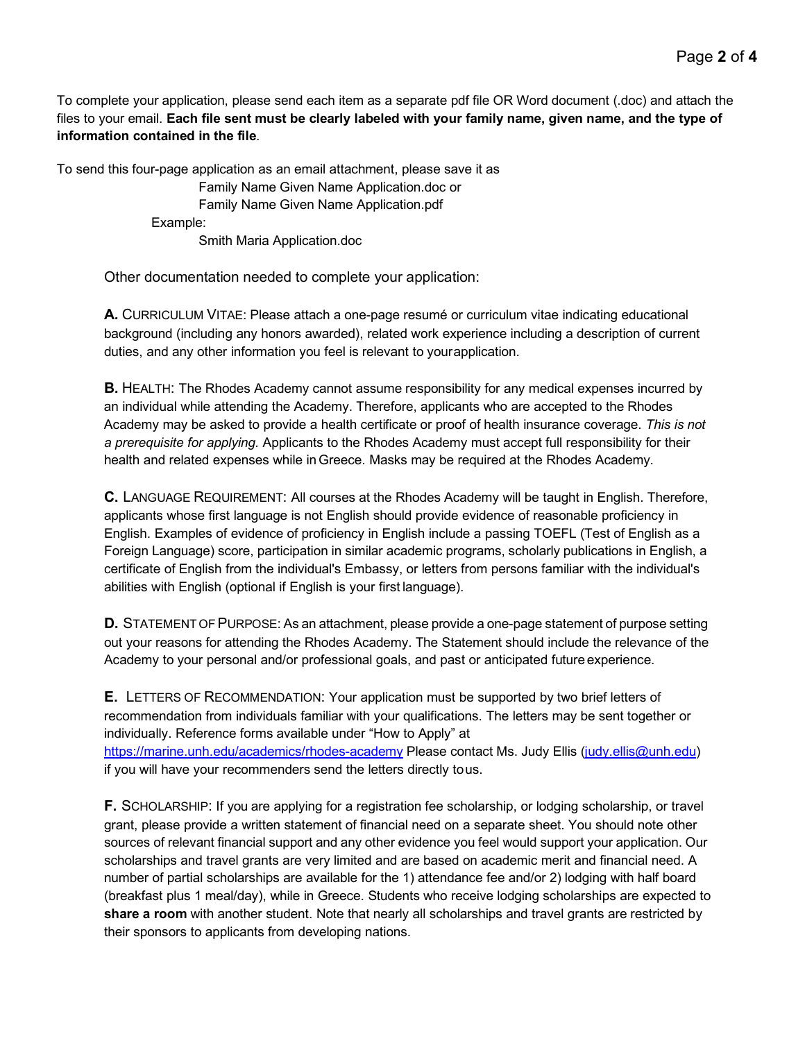To complete your application, please send each item as a separate pdf file OR Word document (.doc) and attach the files to your email. **Each file sent must be clearly labeled with your family name, given name, and the type of information contained in the file**.

To send this four-page application as an email attachment, please save it as

Family Name Given Name Application.doc or Family Name Given Name Application.pdf Example:

Smith Maria Application.doc

Other documentation needed to complete your application:

**A.** CURRICULUM VITAE: Please attach a one-page resumé or curriculum vitae indicating educational background (including any honors awarded), related work experience including a description of current duties, and any other information you feel is relevant to yourapplication.

**B.** HEALTH: The Rhodes Academy cannot assume responsibility for any medical expenses incurred by an individual while attending the Academy. Therefore, applicants who are accepted to the Rhodes Academy may be asked to provide a health certificate or proof of health insurance coverage. *This is not a prerequisite for applying.* Applicants to the Rhodes Academy must accept full responsibility for their health and related expenses while inGreece. Masks may be required at the Rhodes Academy.

**C.** LANGUAGE REQUIREMENT: All courses at the Rhodes Academy will be taught in English. Therefore, applicants whose first language is not English should provide evidence of reasonable proficiency in English. Examples of evidence of proficiency in English include a passing TOEFL (Test of English as a Foreign Language) score, participation in similar academic programs, scholarly publications in English, a certificate of English from the individual's Embassy, or letters from persons familiar with the individual's abilities with English (optional if English is your first language).

**D.** STATEMENT OF PURPOSE: As an attachment, please provide a one-page statement of purpose setting out your reasons for attending the Rhodes Academy. The Statement should include the relevance of the Academy to your personal and/or professional goals, and past or anticipated future experience.

**E.** LETTERS OF RECOMMENDATION: Your application must be supported by two brief letters of recommendation from individuals familiar with your qualifications. The letters may be sent together or individually. Reference forms available under "How to Apply" at <https://marine.unh.edu/academics/rhodes-academy> Please contact Ms. Judy Ellis [\(judy.ellis@unh.edu\)](mailto:judy.ellis@unh.edu) if you will have your recommenders send the letters directly tous.

**F.** SCHOLARSHIP: If you are applying for a registration fee scholarship, or lodging scholarship, or travel grant, please provide a written statement of financial need on a separate sheet. You should note other sources of relevant financial support and any other evidence you feel would support your application. Our scholarships and travel grants are very limited and are based on academic merit and financial need. A number of partial scholarships are available for the 1) attendance fee and/or 2) lodging with half board (breakfast plus 1 meal/day), while in Greece. Students who receive lodging scholarships are expected to **share a room** with another student. Note that nearly all scholarships and travel grants are restricted by their sponsors to applicants from developing nations.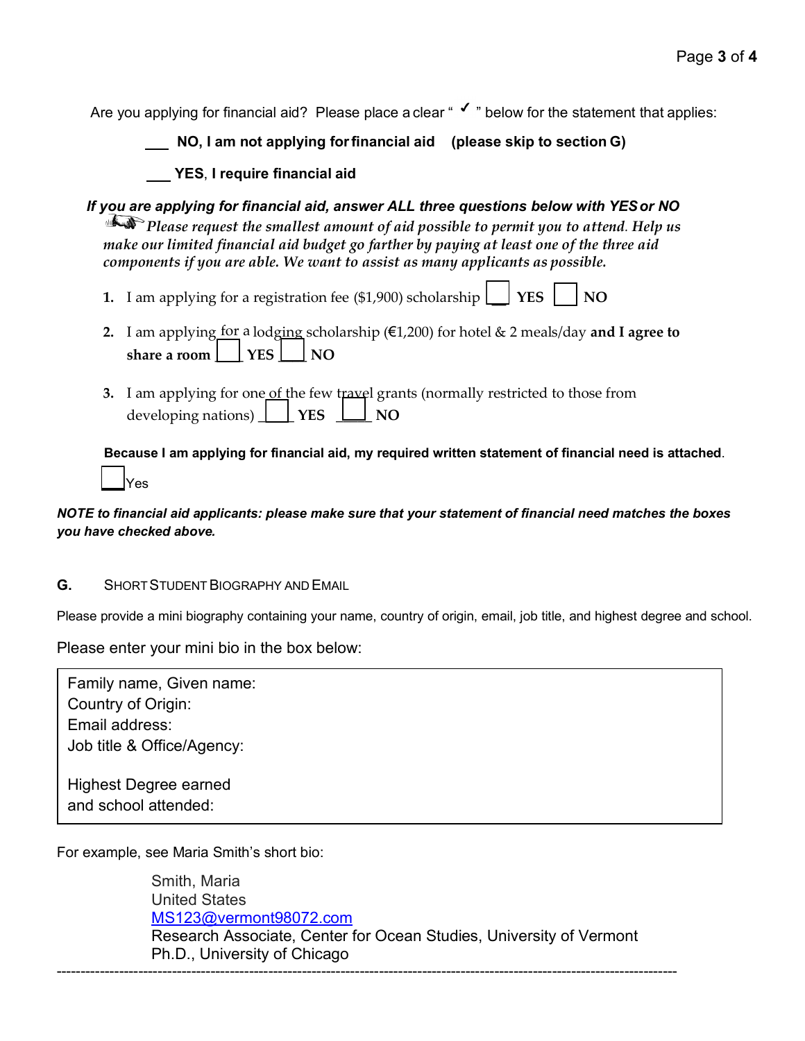Are you applying for financial aid? Please place a clear " $\checkmark$ " below for the statement that applies:

 **NO, I am not applying forfinancial aid (please skip to section G)**

**YES**, **I require financial aid**

*If you are applying for financial aid, answer ALL three questions below with YESor NO Please request the smallest amount of aid possible to permit you to attend. Help us make our limited financial aid budget go farther by paying at least one of the three aid components if you are able. We want to assist as many applicants as possible.*

**1.** I am applying for a registration fee (\$1,900) scholarship  $\Box$  **YES**  $\Box$  **NO** 

- **2.** I am applying for a lodging scholarship (€1,200) for hotel & 2 meals/day and I agree to  $\mathbf{s}$ **hare a room**  $\vert \cdot \vert$  YES  $\vert \cdot \vert$  NO
- **3.** I am applying for one of the few travel grants (normally restricted to those from developing nations)  $\boxed{\phantom{1}}$  **YES**  $\boxed{\phantom{1}}$  **NO**

 $\overline{\phantom{a}}$ **Because I am applying for financial aid, my required written statement of financial need is attached**. Yes

## *NOTE to financial aid applicants: please make sure that your statement of financial need matches the boxes you have checked above.*

**G.** SHORT STUDENT BIOGRAPHY AND EMAIL

Please provide a mini biography containing your name, country of origin, email, job title, and highest degree and school.

Please enter your mini bio in the box below:

Family name, Given name: Country of Origin: Email address: Job title & Office/Agency: Highest Degree earned

and school attended:

For example, see Maria Smith's short bio:

Smith, Maria United States [MS123@vermont98072.com](mailto:MS123@vermont98072.com) Research Associate, Center for Ocean Studies, University of Vermont Ph.D., University of Chicago ---------------------------------------------------------------------------------------------------------------------------------